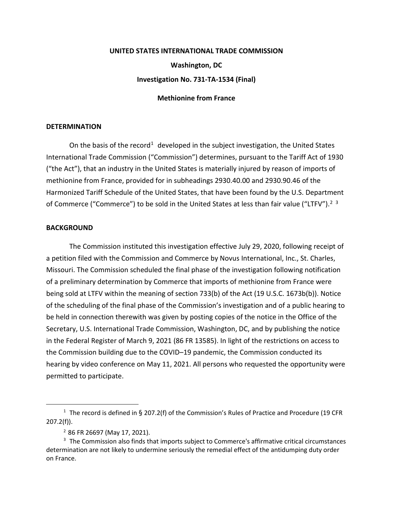## **UNITED STATES INTERNATIONAL TRADE COMMISSION Washington, DC Investigation No. 731-TA-1534 (Final)**

## **Methionine from France**

## **DETERMINATION**

On the basis of the record<sup>[1](#page-0-0)</sup> developed in the subject investigation, the United States International Trade Commission ("Commission") determines, pursuant to the Tariff Act of 1930 ("the Act"), that an industry in the United States is materially injured by reason of imports of methionine from France, provided for in subheadings 2930.40.00 and 2930.90.46 of the Harmonized Tariff Schedule of the United States, that have been found by the U.S. Department of Commerce ("Commerce") to be sold in the United States at less than fair value ("LTFV").<sup>[2](#page-0-1)</sup> <sup>[3](#page-0-2)</sup>

## **BACKGROUND**

The Commission instituted this investigation effective July 29, 2020, following receipt of a petition filed with the Commission and Commerce by Novus International, Inc., St. Charles, Missouri. The Commission scheduled the final phase of the investigation following notification of a preliminary determination by Commerce that imports of methionine from France were being sold at LTFV within the meaning of section 733(b) of the Act (19 U.S.C. 1673b(b)). Notice of the scheduling of the final phase of the Commission's investigation and of a public hearing to be held in connection therewith was given by posting copies of the notice in the Office of the Secretary, U.S. International Trade Commission, Washington, DC, and by publishing the notice in the Federal Register of March 9, 2021 (86 FR 13585). In light of the restrictions on access to the Commission building due to the COVID–19 pandemic, the Commission conducted its hearing by video conference on May 11, 2021. All persons who requested the opportunity were permitted to participate.

<span id="page-0-0"></span><sup>&</sup>lt;sup>1</sup> The record is defined in § 207.2(f) of the Commission's Rules of Practice and Procedure (19 CFR 207.2(f)).

<sup>2</sup> 86 FR 26697 (May 17, 2021).

<span id="page-0-2"></span><span id="page-0-1"></span><sup>&</sup>lt;sup>3</sup> The Commission also finds that imports subject to Commerce's affirmative critical circumstances determination are not likely to undermine seriously the remedial effect of the antidumping duty order on France.